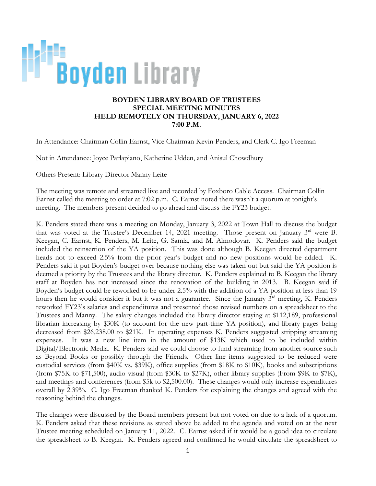

## **BOYDEN LIBRARY BOARD OF TRUSTEES SPECIAL MEETING MINUTES HELD REMOTELY ON THURSDAY, JANUARY 6, 2022 7:00 P.M.**

In Attendance: Chairman Collin Earnst, Vice Chairman Kevin Penders, and Clerk C. Igo Freeman

Not in Attendance: Joyce Parlapiano, Katherine Udden, and Anisul Chowdhury

Others Present: Library Director Manny Leite

The meeting was remote and streamed live and recorded by Foxboro Cable Access. Chairman Collin Earnst called the meeting to order at 7:02 p.m. C. Earnst noted there wasn't a quorum at tonight's meeting. The members present decided to go ahead and discuss the FY23 budget.

K. Penders stated there was a meeting on Monday, January 3, 2022 at Town Hall to discuss the budget that was voted at the Trustee's December 14, 2021 meeting. Those present on January 3<sup>rd</sup> were B. Keegan, C. Earnst, K. Penders, M. Leite, G. Samia, and M. Almodovar. K. Penders said the budget included the reinsertion of the YA position. This was done although B. Keegan directed department heads not to exceed 2.5% from the prior year's budget and no new positions would be added. K. Penders said it put Boyden's budget over because nothing else was taken out but said the YA position is deemed a priority by the Trustees and the library director. K. Penders explained to B. Keegan the library staff at Boyden has not increased since the renovation of the building in 2013. B. Keegan said if Boyden's budget could be reworked to be under 2.5% with the addition of a YA position at less than 19 hours then he would consider it but it was not a guarantee. Since the January 3<sup>rd</sup> meeting, K. Penders reworked FY23's salaries and expenditures and presented those revised numbers on a spreadsheet to the Trustees and Manny. The salary changes included the library director staying at \$112,189, professional librarian increasing by \$30K (to account for the new part-time YA position), and library pages being decreased from \$26,238.00 to \$21K. In operating expenses K. Penders suggested stripping streaming expenses. It was a new line item in the amount of \$13K which used to be included within Digital/Electronic Media. K. Penders said we could choose to fund streaming from another source such as Beyond Books or possibly through the Friends. Other line items suggested to be reduced were custodial services (from \$40K vs. \$39K), office supplies (from \$18K to \$10K), books and subscriptions (from \$75K to \$71,500), audio visual (from \$30K to \$27K), other library supplies (From \$9K to \$7K), and meetings and conferences (from \$5k to \$2,500.00). These changes would only increase expenditures overall by 2.39%. C. Igo Freeman thanked K. Penders for explaining the changes and agreed with the reasoning behind the changes.

The changes were discussed by the Board members present but not voted on due to a lack of a quorum. K. Penders asked that these revisions as stated above be added to the agenda and voted on at the next Trustee meeting scheduled on January 11, 2022. C. Earnst asked if it would be a good idea to circulate the spreadsheet to B. Keegan. K. Penders agreed and confirmed he would circulate the spreadsheet to